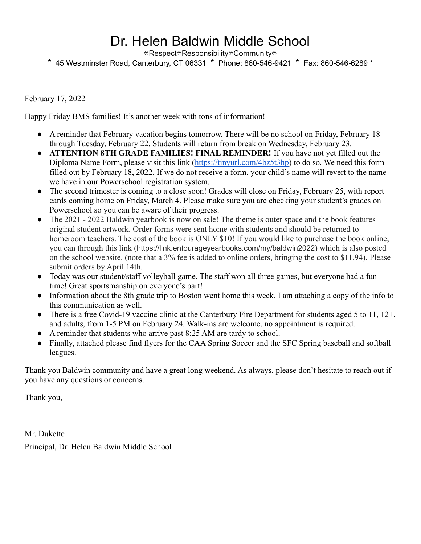## Dr. Helen Baldwin Middle School

⇎Respect⇎Responsibility⇎Community⇎

\* 45 Westminster Road, Canterbury, CT 06331 \* Phone: 860**-**546**-**9421 \* Fax: 860**-**546**-**6289 \*

February 17, 2022

Happy Friday BMS families! It's another week with tons of information!

- **●** A reminder that February vacation begins tomorrow. There will be no school on Friday, February 18 through Tuesday, February 22. Students will return from break on Wednesday, February 23.
- **● ATTENTION 8TH GRADE FAMILIES! FINAL REMINDER!** If you have not yet filled out the Diploma Name Form, please visit this link [\(https://tinyurl.com/4bz5t3hp](https://tinyurl.com/4bz5t3hp)) to do so. We need this form filled out by February 18, 2022. If we do not receive a form, your child's name will revert to the name we have in our Powerschool registration system.
- The second trimester is coming to a close soon! Grades will close on Friday, February 25, with report cards coming home on Friday, March 4. Please make sure you are checking your student's grades on Powerschool so you can be aware of their progress.
- The 2021 2022 Baldwin yearbook is now on sale! The theme is outer space and the book features original student artwork. Order forms were sent home with students and should be returned to homeroom teachers. The cost of the book is ONLY \$10! If you would like to purchase the book online, you can through this link (https://link.entourageyearbooks.com/my/baldwin2022) which is also posted on the school website. (note that a 3% fee is added to online orders, bringing the cost to \$11.94). Please submit orders by April 14th.
- Today was our student/staff volleyball game. The staff won all three games, but everyone had a fun time! Great sportsmanship on everyone's part!
- Information about the 8th grade trip to Boston went home this week. I am attaching a copy of the info to this communication as well.
- There is a free Covid-19 vaccine clinic at the Canterbury Fire Department for students aged 5 to 11, 12+, and adults, from 1-5 PM on February 24. Walk-ins are welcome, no appointment is required.
- A reminder that students who arrive past 8:25 AM are tardy to school.
- Finally, attached please find flyers for the CAA Spring Soccer and the SFC Spring baseball and softball leagues.

Thank you Baldwin community and have a great long weekend. As always, please don't hesitate to reach out if you have any questions or concerns.

Thank you,

Mr. Dukette Principal, Dr. Helen Baldwin Middle School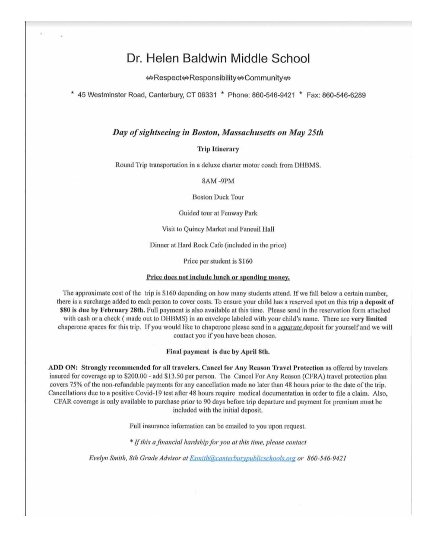### Dr. Helen Baldwin Middle School

⇔Respect⇔Responsibility⇔Community⇔

\* 45 Westminster Road, Canterbury, CT 06331 \* Phone: 860-546-9421 \* Fax: 860-546-6289

#### Day of sightseeing in Boston, Massachusetts on May 25th

#### **Trip Itinerary**

Round Trip transportation in a deluxe charter motor coach from DHBMS.

8AM-9PM

**Boston Duck Tour** 

Guided tour at Fenway Park

Visit to Quincy Market and Faneuil Hall

Dinner at Hard Rock Cafe (included in the price)

Price per student is \$160

#### Price does not include lunch or spending money.

The approximate cost of the trip is \$160 depending on how many students attend. If we fall below a certain number, there is a surcharge added to each person to cover costs. To ensure your child has a reserved spot on this trip a deposit of \$80 is due by February 28th. Full payment is also available at this time. Please send in the reservation form attached with cash or a check (made out to DHBMS) in an envelope labeled with your child's name. There are very limited chaperone spaces for this trip. If you would like to chaperone please send in a *separate* deposit for yourself and we will contact you if you have been chosen.

#### Final payment is due by April 8th.

ADD ON: Strongly recommended for all travelers. Cancel for Any Reason Travel Protection as offered by travelers insured for coverage up to \$200.00 - add \$13.50 per person. The Cancel For Any Reason (CFRA) travel protection plan covers 75% of the non-refundable payments for any cancellation made no later than 48 hours prior to the date of the trip. Cancellations due to a positive Covid-19 test after 48 hours require medical documentation in order to file a claim. Also, CFAR coverage is only available to purchase prior to 90 days before trip departure and payment for premium must be included with the initial deposit.

Full insurance information can be emailed to you upon request.

\* If this a financial hardship for you at this time, please contact

Evelyn Smith, 8th Grade Advisor at Esmith@canterburypublicschools.org or 860-546-9421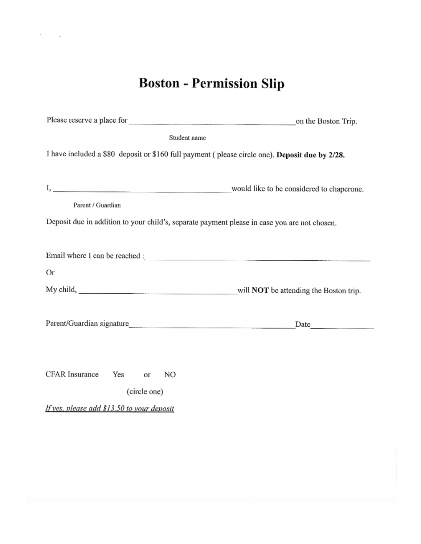# **Boston - Permission Slip**

| Student name                                                                                                                                                                                                                         |                                           |
|--------------------------------------------------------------------------------------------------------------------------------------------------------------------------------------------------------------------------------------|-------------------------------------------|
| I have included a \$80 deposit or \$160 full payment (please circle one). Deposit due by 2/28.                                                                                                                                       |                                           |
|                                                                                                                                                                                                                                      |                                           |
| <u>I, produced and a construction of the construction of the construction of the construction of the construction of the construction of the construction of the construction of the construction of the construction of the con</u> | would like to be considered to chaperone. |
| Parent / Guardian                                                                                                                                                                                                                    |                                           |
| Deposit due in addition to your child's, separate payment please in case you are not chosen.                                                                                                                                         |                                           |
|                                                                                                                                                                                                                                      |                                           |
| Email where I can be reached :                                                                                                                                                                                                       |                                           |
| Or                                                                                                                                                                                                                                   |                                           |
| My child, will NOT be attending the Boston trip.                                                                                                                                                                                     |                                           |
|                                                                                                                                                                                                                                      |                                           |
|                                                                                                                                                                                                                                      | Date <u>Date</u>                          |
|                                                                                                                                                                                                                                      |                                           |
|                                                                                                                                                                                                                                      |                                           |
| <b>CFAR Insurance</b><br>Yes<br>NO<br>or                                                                                                                                                                                             |                                           |
| (circle one)                                                                                                                                                                                                                         |                                           |
| If yes, please add \$13.50 to your deposit                                                                                                                                                                                           |                                           |
|                                                                                                                                                                                                                                      |                                           |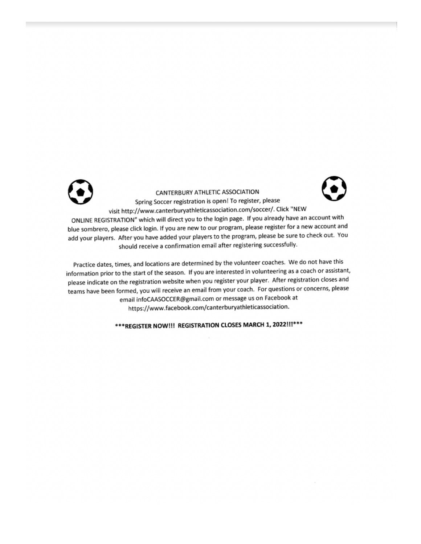

CANTERBURY ATHLETIC ASSOCIATION Spring Soccer registration is open! To register, please visit http://www.canterburyathleticassociation.com/soccer/. Click "NEW

ONLINE REGISTRATION" which will direct you to the login page. If you already have an account with blue sombrero, please click login. If you are new to our program, please register for a new account and add your players. After you have added your players to the program, please be sure to check out. You should receive a confirmation email after registering successfully.

Practice dates, times, and locations are determined by the volunteer coaches. We do not have this information prior to the start of the season. If you are interested in volunteering as a coach or assistant, please indicate on the registration website when you register your player. After registration closes and teams have been formed, you will receive an email from your coach. For questions or concerns, please email infoCAASOCCER@gmail.com or message us on Facebook at https://www.facebook.com/canterburyathleticassociation.

\*\*\* REGISTER NOW!!! REGISTRATION CLOSES MARCH 1, 2022!!!\*\*\*